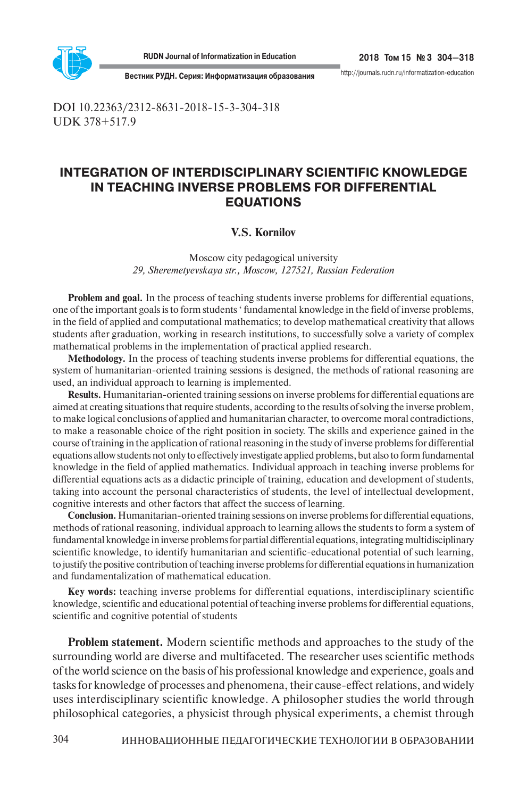

304

http://journals.rudn.ru/informatization-education

**Вестник РУДН. Серия: Информатизация образования**

DOI 10.22363/2312-8631-2018-15-3-304-318 UDK 378+517.9

# **INTEGRATION OF INTERDISCIPLINARY SCIENTIFIC KNOWLEDGE IN TEACHING INVERSE PROBLEMS FOR DIFFERENTIAL EQUATIONS**

# **V.S. Kornilov**

Moscow city pedagogical university *29, Sheremetyevskaya str., Moscow, 127521, Russian Federation*

**Problem and goal.** In the process of teaching students inverse problems for differential equations, one of the important goals is to form students ' fundamental knowledge in the field of inverse problems, in the field of applied and computational mathematics; to develop mathematical creativity that allows students after graduation, working in research institutions, to successfully solve a variety of complex mathematical problems in the implementation of practical applied research.

**Methodology.** In the process of teaching students inverse problems for differential equations, the system of humanitarian-oriented training sessions is designed, the methods of rational reasoning are used, an individual approach to learning is implemented.

**Results.** Humanitarian-oriented training sessions on inverse problems for differential equations are aimed at creating situations that require students, according to the results of solving the inverse problem, to make logical conclusions of applied and humanitarian character, to overcome moral contradictions, to make a reasonable choice of the right position in society. The skills and experience gained in the course of training in the application of rational reasoning in the study of inverse problems for differential equations allow students not only to effectively investigate applied problems, but also to form fundamental knowledge in the field of applied mathematics. Individual approach in teaching inverse problems for differential equations acts as a didactic principle of training, education and development of students, taking into account the personal characteristics of students, the level of intellectual development, cognitive interests and other factors that affect the success of learning.

**Conclusion.** Humanitarian-oriented training sessions on inverse problems for differential equations, methods of rational reasoning, individual approach to learning allows the students to form a system of fundamental knowledge in inverse problems for partial differential equations, integrating multidisciplinary scientific knowledge, to identify humanitarian and scientific-educational potential of such learning, to justify the positive contribution of teaching inverse problems for differential equations in humanization and fundamentalization of mathematical education.

**Key words:** teaching inverse problems for differential equations, interdisciplinary scientific knowledge, scientific and educational potential of teaching inverse problems for differential equations, scientific and cognitive potential of students

**Problem statement.** Modern scientific methods and approaches to the study of the surrounding world are diverse and multifaceted. The researcher uses scientific methods of the world science on the basis of his professional knowledge and experience, goals and tasks for knowledge of processes and phenomena, their cause-effect relations, and widely uses interdisciplinary scientific knowledge. A philosopher studies the world through philosophical categories, a physicist through physical experiments, a chemist through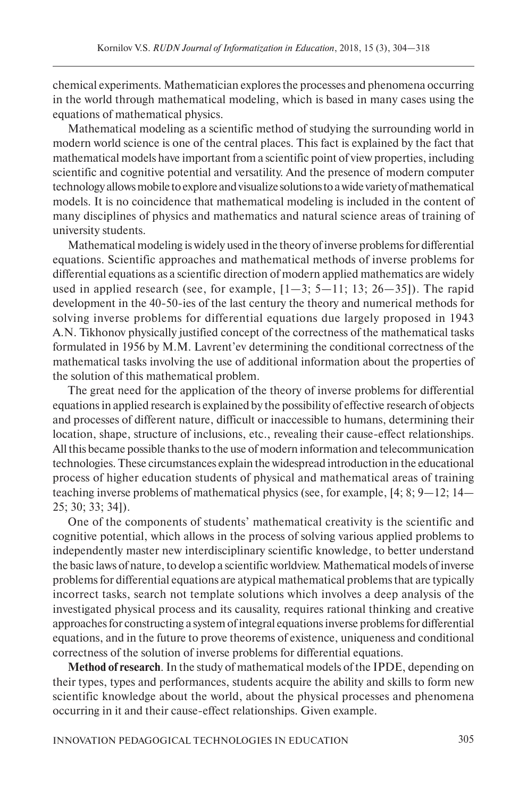chemical experiments. Mathematician explores the processes and phenomena occurring in the world through mathematical modeling, which is based in many cases using the equations of mathematical physics.

Mathematical modeling as a scientific method of studying the surrounding world in modern world science is one of the central places. This fact is explained by the fact that mathematical models have important from a scientific point of view properties, including scientific and cognitive potential and versatility. And the presence of modern computer technology allows mobile to explore and visualize solutions to a wide variety of mathematical models. It is no coincidence that mathematical modeling is included in the content of many disciplines of physics and mathematics and natural science areas of training of university students.

Mathematical modeling is widely used in the theory of inverse problems for differential equations. Scientific approaches and mathematical methods of inverse problems for differential equations as a scientific direction of modern applied mathematics are widely used in applied research (see, for example,  $[1-3; 5-11; 13; 26-35]$ ). The rapid development in the 40-50-ies of the last century the theory and numerical methods for solving inverse problems for differential equations due largely proposed in 1943 A.N. Tikhonov physically justified concept of the correctness of the mathematical tasks formulated in 1956 by M.M. Lavrent'ev determining the conditional correctness of the mathematical tasks involving the use of additional information about the properties of the solution of this mathematical problem.

The great need for the application of the theory of inverse problems for differential equations in applied research is explained by the possibility of effective research of objects and processes of different nature, difficult or inaccessible to humans, determining their location, shape, structure of inclusions, etc., revealing their cause-effect relationships. All this became possible thanks to the use of modern information and telecommunication technologies. These circumstances explain the widespread introduction in the educational process of higher education students of physical and mathematical areas of training teaching inverse problems of mathematical physics (see, for example, [4; 8; 9—12; 14— 25; 30; 33; 34]).

One of the components of students' mathematical creativity is the scientific and cognitive potential, which allows in the process of solving various applied problems to independently master new interdisciplinary scientific knowledge, to better understand the basic laws of nature, to develop a scientific worldview. Mathematical models of inverse problems for differential equations are atypical mathematical problems that are typically incorrect tasks, search not template solutions which involves a deep analysis of the investigated physical process and its causality, requires rational thinking and creative approaches for constructing a system of integral equations inverse problems for differential equations, and in the future to prove theorems of existence, uniqueness and conditional correctness of the solution of inverse problems for differential equations.

**Method of research**. In the study of mathematical models of the IPDE, depending on their types, types and performances, students acquire the ability and skills to form new scientific knowledge about the world, about the physical processes and phenomena occurring in it and their cause-effect relationships. Given example.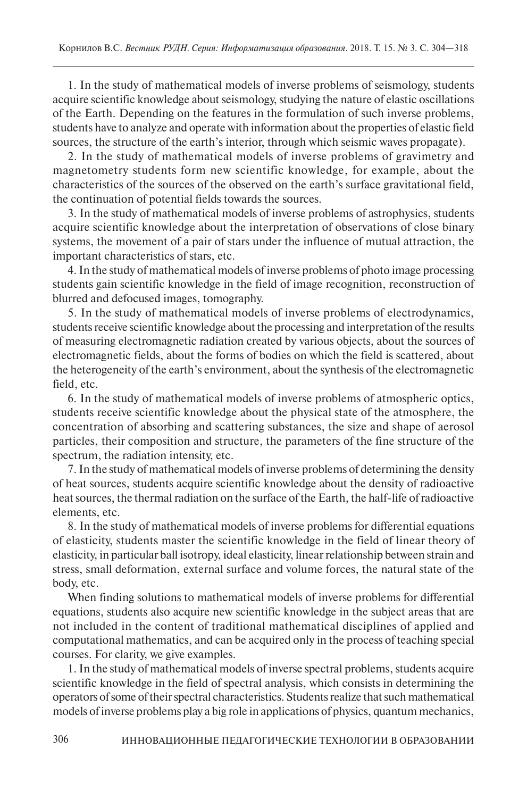1. In the study of mathematical models of inverse problems of seismology, students acquire scientific knowledge about seismology, studying the nature of elastic oscillations of the Earth. Depending on the features in the formulation of such inverse problems, students have to analyze and operate with information about the properties of elastic field sources, the structure of the earth's interior, through which seismic waves propagate).

2. In the study of mathematical models of inverse problems of gravimetry and magnetometry students form new scientific knowledge, for example, about the characteristics of the sources of the observed on the earth's surface gravitational field, the continuation of potential fields towards the sources.

3. In the study of mathematical models of inverse problems of astrophysics, students acquire scientific knowledge about the interpretation of observations of close binary systems, the movement of a pair of stars under the influence of mutual attraction, the important characteristics of stars, etc.

4. In the study of mathematical models of inverse problems of photo image processing students gain scientific knowledge in the field of image recognition, reconstruction of blurred and defocused images, tomography.

5. In the study of mathematical models of inverse problems of electrodynamics, students receive scientific knowledge about the processing and interpretation of the results of measuring electromagnetic radiation created by various objects, about the sources of electromagnetic fields, about the forms of bodies on which the field is scattered, about the heterogeneity of the earth's environment, about the synthesis of the electromagnetic field, etc.

6. In the study of mathematical models of inverse problems of atmospheric optics, students receive scientific knowledge about the physical state of the atmosphere, the concentration of absorbing and scattering substances, the size and shape of aerosol particles, their composition and structure, the parameters of the fine structure of the spectrum, the radiation intensity, etc.

7. In the study of mathematical models of inverse problems of determining the density of heat sources, students acquire scientific knowledge about the density of radioactive heat sources, the thermal radiation on the surface of the Earth, the half-life of radioactive elements, etc.

8. In the study of mathematical models of inverse problems for differential equations of elasticity, students master the scientific knowledge in the field of linear theory of elasticity, in particular ball isotropy, ideal elasticity, linear relationship between strain and stress, small deformation, external surface and volume forces, the natural state of the body, etc.

When finding solutions to mathematical models of inverse problems for differential equations, students also acquire new scientific knowledge in the subject areas that are not included in the content of traditional mathematical disciplines of applied and computational mathematics, and can be acquired only in the process of teaching special courses. For clarity, we give examples.

1. In the study of mathematical models of inverse spectral problems, students acquire scientific knowledge in the field of spectral analysis, which consists in determining the operators of some of their spectral characteristics. Students realize that such mathematical models of inverse problems play a big role in applications of physics, quantum mechanics,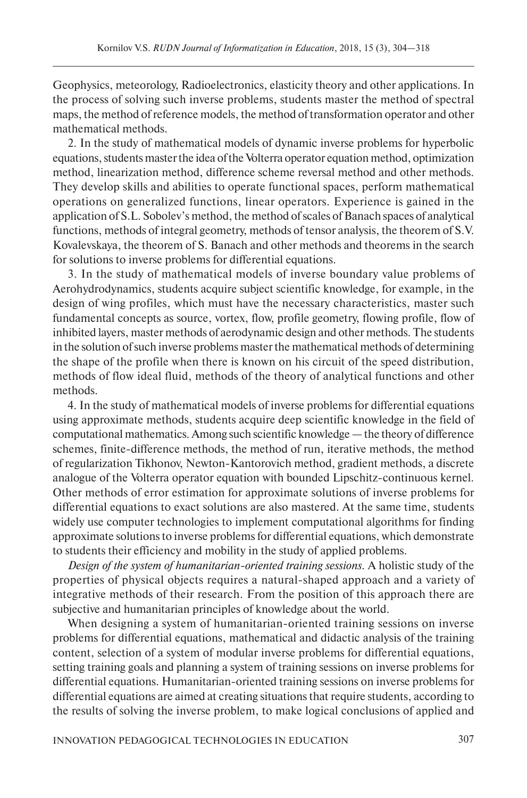Geophysics, meteorology, Radioelectronics, elasticity theory and other applications. In the process of solving such inverse problems, students master the method of spectral maps, the method of reference models, the method of transformation operator and other mathematical methods.

2. In the study of mathematical models of dynamic inverse problems for hyperbolic equations, students master the idea of the Volterra operator equation method, optimization method, linearization method, difference scheme reversal method and other methods. They develop skills and abilities to operate functional spaces, perform mathematical operations on generalized functions, linear operators. Experience is gained in the application of S.L. Sobolev's method, the method of scales of Banach spaces of analytical functions, methods of integral geometry, methods of tensor analysis, the theorem of S.V. Kovalevskaya, the theorem of S. Banach and other methods and theorems in the search for solutions to inverse problems for differential equations.

3. In the study of mathematical models of inverse boundary value problems of Aerohydrodynamics, students acquire subject scientific knowledge, for example, in the design of wing profiles, which must have the necessary characteristics, master such fundamental concepts as source, vortex, flow, profile geometry, flowing profile, flow of inhibited layers, master methods of aerodynamic design and other methods. The students in the solution of such inverse problems master the mathematical methods of determining the shape of the profile when there is known on his circuit of the speed distribution, methods of flow ideal fluid, methods of the theory of analytical functions and other methods.

4. In the study of mathematical models of inverse problems for differential equations using approximate methods, students acquire deep scientific knowledge in the field of computational mathematics. Among such scientific knowledge — the theory of difference schemes, finite-difference methods, the method of run, iterative methods, the method of regularization Tikhonov, Newton-Kantorovich method, gradient methods, a discrete analogue of the Volterra operator equation with bounded Lipschitz-continuous kernel. Other methods of error estimation for approximate solutions of inverse problems for differential equations to exact solutions are also mastered. At the same time, students widely use computer technologies to implement computational algorithms for finding approximate solutions to inverse problems for differential equations, which demonstrate to students their efficiency and mobility in the study of applied problems.

*Design of the system of humanitarian-oriented training sessions.* A holistic study of the properties of physical objects requires a natural-shaped approach and a variety of integrative methods of their research. From the position of this approach there are subjective and humanitarian principles of knowledge about the world.

When designing a system of humanitarian-oriented training sessions on inverse problems for differential equations, mathematical and didactic analysis of the training content, selection of a system of modular inverse problems for differential equations, setting training goals and planning a system of training sessions on inverse problems for differential equations. Humanitarian-oriented training sessions on inverse problems for differential equations are aimed at creating situations that require students, according to the results of solving the inverse problem, to make logical conclusions of applied and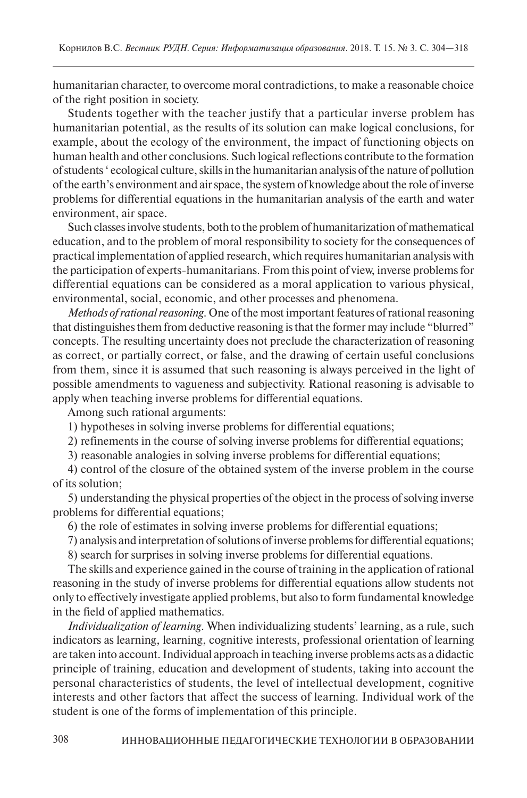humanitarian character, to overcome moral contradictions, to make a reasonable choice of the right position in society.

Students together with the teacher justify that a particular inverse problem has humanitarian potential, as the results of its solution can make logical conclusions, for example, about the ecology of the environment, the impact of functioning objects on human health and other conclusions. Such logical reflections contribute to the formation of students ' ecological culture, skills in the humanitarian analysis of the nature of pollution of the earth's environment and air space, the system of knowledge about the role of inverse problems for differential equations in the humanitarian analysis of the earth and water environment, air space.

Such classes involve students, both to the problem of humanitarization of mathematical education, and to the problem of moral responsibility to society for the consequences of practical implementation of applied research, which requires humanitarian analysis with the participation of experts-humanitarians. From this point of view, inverse problems for differential equations can be considered as a moral application to various physical, environmental, social, economic, and other processes and phenomena.

*Methods of rational reasoning*. One of the most important features of rational reasoning that distinguishes them from deductive reasoning is that the former may include "blurred" concepts. The resulting uncertainty does not preclude the characterization of reasoning as correct, or partially correct, or false, and the drawing of certain useful conclusions from them, since it is assumed that such reasoning is always perceived in the light of possible amendments to vagueness and subjectivity. Rational reasoning is advisable to apply when teaching inverse problems for differential equations.

Among such rational arguments:

1) hypotheses in solving inverse problems for differential equations;

2) refinements in the course of solving inverse problems for differential equations;

3) reasonable analogies in solving inverse problems for differential equations;

4) control of the closure of the obtained system of the inverse problem in the course of its solution;

5) understanding the physical properties of the object in the process of solving inverse problems for differential equations;

6) the role of estimates in solving inverse problems for differential equations;

7) analysis and interpretation of solutions of inverse problems for differential equations;

8) search for surprises in solving inverse problems for differential equations.

The skills and experience gained in the course of training in the application of rational reasoning in the study of inverse problems for differential equations allow students not only to effectively investigate applied problems, but also to form fundamental knowledge in the field of applied mathematics.

*Individualization of learning*. When individualizing students' learning, as a rule, such indicators as learning, learning, cognitive interests, professional orientation of learning are taken into account. Individual approach in teaching inverse problems acts as a didactic principle of training, education and development of students, taking into account the personal characteristics of students, the level of intellectual development, cognitive interests and other factors that affect the success of learning. Individual work of the student is one of the forms of implementation of this principle.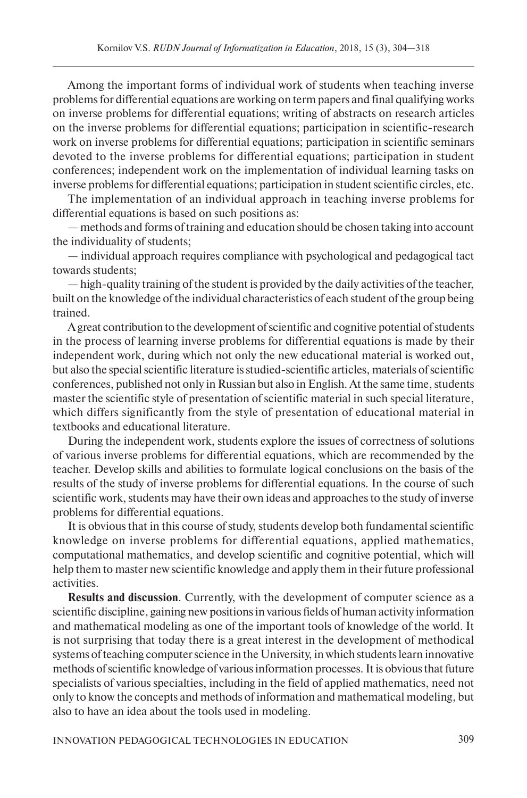Among the important forms of individual work of students when teaching inverse problems for differential equations are working on term papers and final qualifying works on inverse problems for differential equations; writing of abstracts on research articles on the inverse problems for differential equations; participation in scientific-research work on inverse problems for differential equations; participation in scientific seminars devoted to the inverse problems for differential equations; participation in student conferences; independent work on the implementation of individual learning tasks on inverse problems for differential equations; participation in student scientific circles, etc.

The implementation of an individual approach in teaching inverse problems for differential equations is based on such positions as:

— methods and forms of training and education should be chosen taking into account the individuality of students;

— individual approach requires compliance with psychological and pedagogical tact towards students;

— high-quality training of the student is provided by the daily activities of the teacher, built on the knowledge of the individual characteristics of each student of the group being trained.

A great contribution to the development of scientific and cognitive potential of students in the process of learning inverse problems for differential equations is made by their independent work, during which not only the new educational material is worked out, but also the special scientific literature is studied-scientific articles, materials of scientific conferences, published not only in Russian but also in English. At the same time, students master the scientific style of presentation of scientific material in such special literature, which differs significantly from the style of presentation of educational material in textbooks and educational literature.

During the independent work, students explore the issues of correctness of solutions of various inverse problems for differential equations, which are recommended by the teacher. Develop skills and abilities to formulate logical conclusions on the basis of the results of the study of inverse problems for differential equations. In the course of such scientific work, students may have their own ideas and approaches to the study of inverse problems for differential equations.

It is obvious that in this course of study, students develop both fundamental scientific knowledge on inverse problems for differential equations, applied mathematics, computational mathematics, and develop scientific and cognitive potential, which will help them to master new scientific knowledge and apply them in their future professional activities.

**Results and discussion**. Currently, with the development of computer science as a scientific discipline, gaining new positions in various fields of human activity information and mathematical modeling as one of the important tools of knowledge of the world. It is not surprising that today there is a great interest in the development of methodical systems of teaching computer science in the University, in which students learn innovative methods of scientific knowledge of various information processes. It is obvious that future specialists of various specialties, including in the field of applied mathematics, need not only to know the concepts and methods of information and mathematical modeling, but also to have an idea about the tools used in modeling.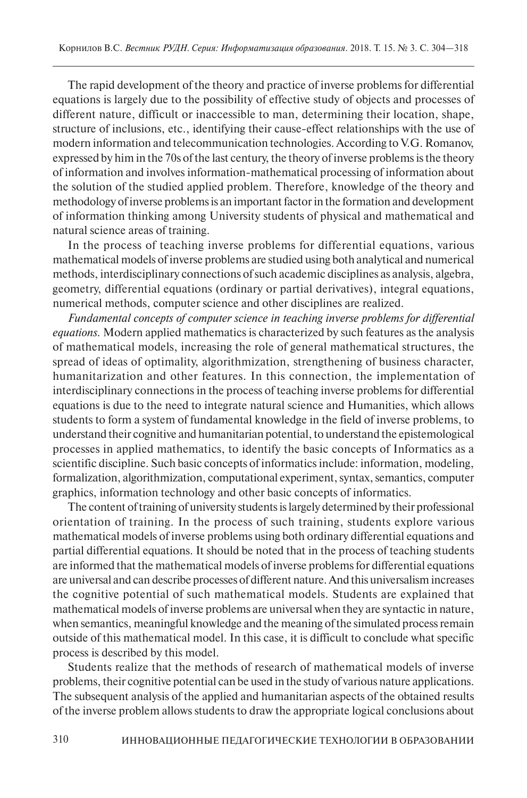The rapid development of the theory and practice of inverse problems for differential equations is largely due to the possibility of effective study of objects and processes of different nature, difficult or inaccessible to man, determining their location, shape, structure of inclusions, etc., identifying their cause-effect relationships with the use of modern information and telecommunication technologies. According to V.G. Romanov, expressed by him in the 70s of the last century, the theory of inverse problems is the theory of information and involves information-mathematical processing of information about the solution of the studied applied problem. Therefore, knowledge of the theory and methodology of inverse problems is an important factor in the formation and development of information thinking among University students of physical and mathematical and natural science areas of training.

In the process of teaching inverse problems for differential equations, various mathematical models of inverse problems are studied using both analytical and numerical methods, interdisciplinary connections of such academic disciplines as analysis, algebra, geometry, differential equations (ordinary or partial derivatives), integral equations, numerical methods, computer science and other disciplines are realized.

*Fundamental concepts of computer science in teaching inverse problems for differential equations.* Modern applied mathematics is characterized by such features as the analysis of mathematical models, increasing the role of general mathematical structures, the spread of ideas of optimality, algorithmization, strengthening of business character, humanitarization and other features. In this connection, the implementation of interdisciplinary connections in the process of teaching inverse problems for differential equations is due to the need to integrate natural science and Humanities, which allows students to form a system of fundamental knowledge in the field of inverse problems, to understand their cognitive and humanitarian potential, to understand the epistemological processes in applied mathematics, to identify the basic concepts of Informatics as a scientific discipline. Such basic concepts of informatics include: information, modeling, formalization, algorithmization, computational experiment, syntax, semantics, computer graphics, information technology and other basic concepts of informatics.

The content of training of university students is largely determined by their professional orientation of training. In the process of such training, students explore various mathematical models of inverse problems using both ordinary differential equations and partial differential equations. It should be noted that in the process of teaching students are informed that the mathematical models of inverse problems for differential equations are universal and can describe processes of different nature. And this universalism increases the cognitive potential of such mathematical models. Students are explained that mathematical models of inverse problems are universal when they are syntactic in nature, when semantics, meaningful knowledge and the meaning of the simulated process remain outside of this mathematical model. In this case, it is difficult to conclude what specific process is described by this model.

Students realize that the methods of research of mathematical models of inverse problems, their cognitive potential can be used in the study of various nature applications. The subsequent analysis of the applied and humanitarian aspects of the obtained results of the inverse problem allows students to draw the appropriate logical conclusions about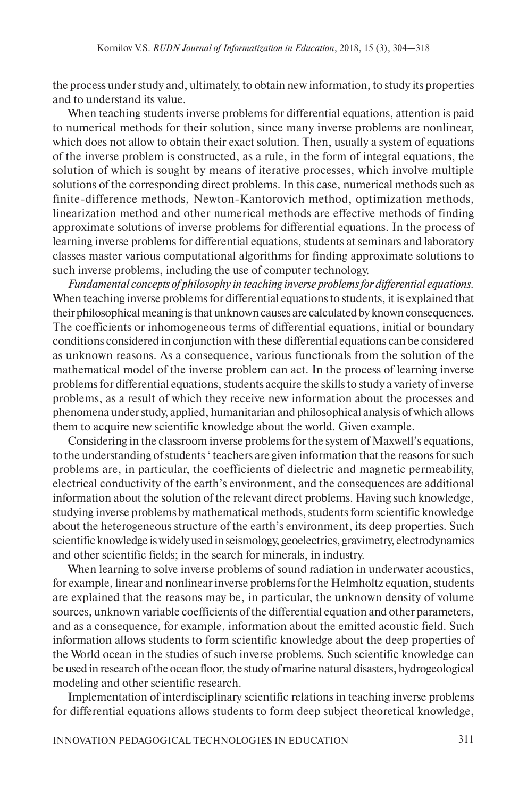the process under study and, ultimately, to obtain new information, to study its properties and to understand its value.

When teaching students inverse problems for differential equations, attention is paid to numerical methods for their solution, since many inverse problems are nonlinear, which does not allow to obtain their exact solution. Then, usually a system of equations of the inverse problem is constructed, as a rule, in the form of integral equations, the solution of which is sought by means of iterative processes, which involve multiple solutions of the corresponding direct problems. In this case, numerical methods such as finite-difference methods, Newton-Kantorovich method, optimization methods, linearization method and other numerical methods are effective methods of finding approximate solutions of inverse problems for differential equations. In the process of learning inverse problems for differential equations, students at seminars and laboratory classes master various computational algorithms for finding approximate solutions to such inverse problems, including the use of computer technology.

*Fundamental concepts of philosophy in teaching inverse problems for differential equations.* When teaching inverse problems for differential equations to students, it is explained that their philosophical meaning is that unknown causes are calculated by known consequences. The coefficients or inhomogeneous terms of differential equations, initial or boundary conditions considered in conjunction with these differential equations can be considered as unknown reasons. As a consequence, various functionals from the solution of the mathematical model of the inverse problem can act. In the process of learning inverse problems for differential equations, students acquire the skills to study a variety of inverse problems, as a result of which they receive new information about the processes and phenomena under study, applied, humanitarian and philosophical analysis of which allows them to acquire new scientific knowledge about the world. Given example.

Considering in the classroom inverse problems for the system of Maxwell's equations, to the understanding of students ' teachers are given information that the reasons for such problems are, in particular, the coefficients of dielectric and magnetic permeability, electrical conductivity of the earth's environment, and the consequences are additional information about the solution of the relevant direct problems. Having such knowledge, studying inverse problems by mathematical methods, students form scientific knowledge about the heterogeneous structure of the earth's environment, its deep properties. Such scientific knowledge is widely used in seismology, geoelectrics, gravimetry, electrodynamics and other scientific fields; in the search for minerals, in industry.

When learning to solve inverse problems of sound radiation in underwater acoustics, for example, linear and nonlinear inverse problems for the Helmholtz equation, students are explained that the reasons may be, in particular, the unknown density of volume sources, unknown variable coefficients of the differential equation and other parameters, and as a consequence, for example, information about the emitted acoustic field. Such information allows students to form scientific knowledge about the deep properties of the World ocean in the studies of such inverse problems. Such scientific knowledge can be used in research of the ocean floor, the study of marine natural disasters, hydrogeological modeling and other scientific research.

Implementation of interdisciplinary scientific relations in teaching inverse problems for differential equations allows students to form deep subject theoretical knowledge,

INNOVATION PEDAGOGICAL TECHNOLOGIES IN EDUCATION 311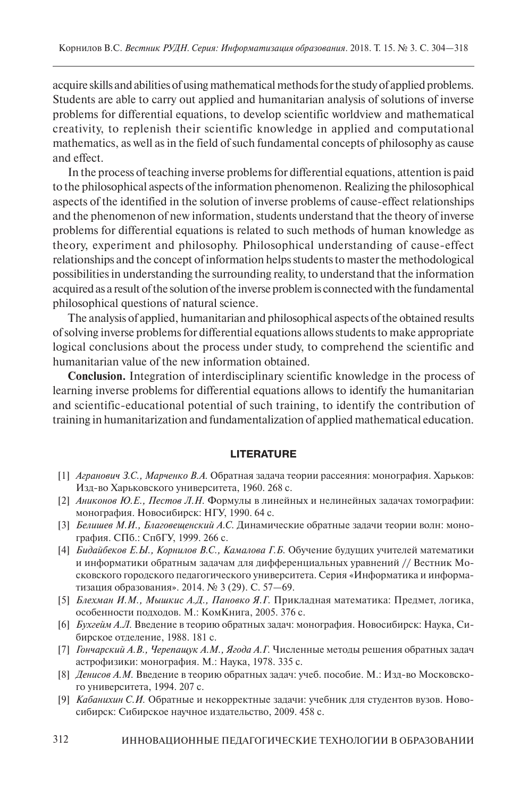acquire skills and abilities of using mathematical methods for the study of applied problems. Students are able to carry out applied and humanitarian analysis of solutions of inverse problems for differential equations, to develop scientific worldview and mathematical creativity, to replenish their scientific knowledge in applied and computational mathematics, as well as in the field of such fundamental concepts of philosophy as cause and effect.

In the process of teaching inverse problems for differential equations, attention is paid to the philosophical aspects of the information phenomenon. Realizing the philosophical aspects of the identified in the solution of inverse problems of cause-effect relationships and the phenomenon of new information, students understand that the theory of inverse problems for differential equations is related to such methods of human knowledge as theory, experiment and philosophy. Philosophical understanding of cause-effect relationships and the concept of information helps students to master the methodological possibilities in understanding the surrounding reality, to understand that the information acquired as a result of the solution of the inverse problem is connected with the fundamental philosophical questions of natural science.

The analysis of applied, humanitarian and philosophical aspects of the obtained results of solving inverse problems for differential equations allows students to make appropriate logical conclusions about the process under study, to comprehend the scientific and humanitarian value of the new information obtained.

**Conclusion.** Integration of interdisciplinary scientific knowledge in the process of learning inverse problems for differential equations allows to identify the humanitarian and scientific-educational potential of such training, to identify the contribution of training in humanitarization and fundamentalization of applied mathematical education.

## **LITERATURE**

- [1] *Агранович З.С., Марченко В.А.* Обратная задача теории рассеяния: монография. Харьков: Изд-во Харьковского университета, 1960. 268 с.
- [2] *Аниконов Ю.Е., Пестов Л.Н.* Формулы в линейных и нелинейных задачах томографии: монография. Новосибирск: НГУ, 1990. 64 с.
- [3] *Белишев М.И., Благовещенский А.С.* Динамические обратные задачи теории волн: монография. СПб.: СпбГУ, 1999. 266 с.
- [4] *Бидайбеков Е.Ы., Корнилов В.С., Камалова Г.Б.* Обучение будущих учителей математики и информатики обратным задачам для дифференциальных уравнений // Вестник Московского городского педагогического университета. Серия «Информатика и информатизация образования». 2014. № 3 (29). С. 57—69.
- [5] *Блехман И.М., Мышкис А.Д., Пановко Я.Г.* Прикладная математика: Предмет, логика, особенности подходов. М.: КомКнига, 2005. 376 с.
- [6] *Бухгейм А.Л.* Введение в теорию обратных задач: монография. Новосибирск: Наука, Сибирское отделение, 1988. 181 с.
- [7] *Гончарский А.В., Черепащук А.М., Ягода А.Г.* Численные методы решения обратных задач астрофизики: монография. М.: Наука, 1978. 335 с.
- [8] *Денисов А.М.* Введение в теорию обратных задач: учеб. пособие. М.: Изд-во Московского университета, 1994. 207 с.
- [9] *Кабанихин С.И.* Обратные и некорректные задачи: учебник для студентов вузов. Новосибирск: Сибирское научное издательство, 2009. 458 c.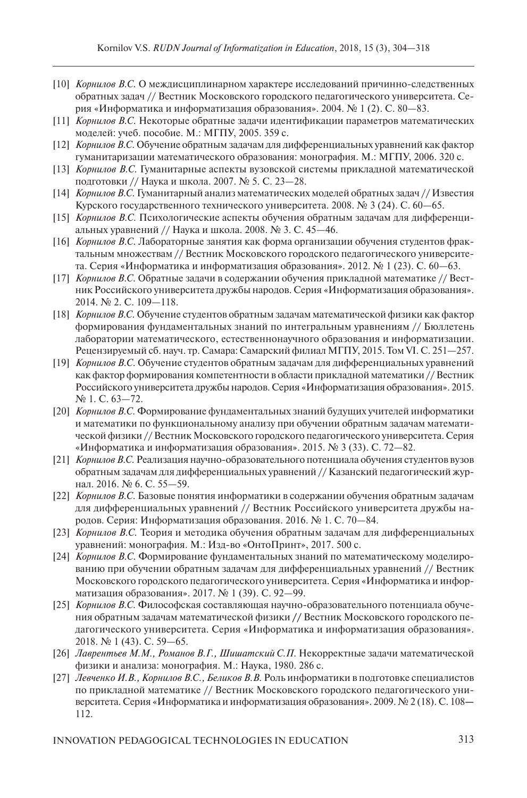- [10] *Корнилов В.С.* О междисциплинарном характере исследований причинно-следственных обратных задач // Вестник Московского городского педагогического университета. Серия «Информатика и информатизация образования». 2004. № 1 (2). С. 80—83.
- [11] *Корнилов В.С.* Некоторые обратные задачи идентификации параметров математических моделей: учеб. пособие. М.: МГПУ, 2005. 359 с.
- [12] *Корнилов В.С.* Обучение обратным задачам для дифференциальных уравнений как фактор гуманитаризации математического образования: монография. М.: МГПУ, 2006. 320 с.
- [13] *Корнилов В.С.* Гуманитарные аспекты вузовской системы прикладной математической подготовки // Наука и школа. 2007. № 5. С. 23—28.
- [14] *Корнилов В.С.* Гуманитарный анализ математических моделей обратных задач // Известия Курского государственного технического университета. 2008. № 3 (24). С. 60—65.
- [15] *Корнилов В.С.* Психологические аспекты обучения обратным задачам для дифференциальных уравнений // Наука и школа. 2008. № 3. С. 45—46.
- [16] *Корнилов В.С.* Лабораторные занятия как форма организации обучения студентов фрактальным множествам // Вестник Московского городского педагогического университета. Серия «Информатика и информатизация образования». 2012. № 1 (23). С. 60—63.
- [17] *Корнилов В.С.* Обратные задачи в содержании обучения прикладной математике // Вестник Российского университета дружбы народов. Серия «Информатизация образования». 2014. № 2. С. 109—118.
- [18] *Корнилов В.С.* Обучение студентов обратным задачам математической физики как фактор формирования фундаментальных знаний по интегральным уравнениям // Бюллетень лаборатории математического, естественнонаучного образования и информатизации. Рецензируемый сб. науч. тр. Самара: Самарский филиал МГПУ, 2015. Том VI. С. 251—257.
- [19] *Корнилов В.С.* Обучение студентов обратным задачам для дифференциальных уравнений как фактор формирования компетентности в области прикладной математики // Вестник Российского университета дружбы народов. Серия «Информатизация образования». 2015. № 1. С. 63—72.
- [20] *Корнилов В.С.* Формирование фундаментальных знаний будущих учителей информатики и математики по функциональному анализу при обучении обратным задачам математической физики // Вестник Московского городского педагогического университета. Серия «Информатика и информатизация образования». 2015. № 3 (33). С. 72—82.
- [21] *Корнилов В.С.* Реализация научно-образовательного потенциала обучения студентов вузов обратным задачам для дифференциальных уравнений // Казанский педагогический журнал. 2016. № 6. С. 55—59.
- [22] *Корнилов В.С.* Базовые понятия информатики в содержании обучения обратным задачам для дифференциальных уравнений // Вестник Российского университета дружбы народов. Серия: Информатизация образования. 2016. № 1. С. 70—84.
- [23] *Корнилов В.С.* Теория и методика обучения обратным задачам для дифференциальных уравнений: монография. М.: Изд-во «ОнтоПринт», 2017. 500 с.
- [24] *Корнилов В.С.* Формирование фундаментальных знаний по математическому моделированию при обучении обратным задачам для дифференциальных уравнений // Вестник Московского городского педагогического университета. Серия «Информатика и информатизация образования». 2017. № 1 (39). С. 92—99.
- [25] *Корнилов В.С.* Философская составляющая научно-образовательного потенциала обучения обратным задачам математической физики **//** Вестник Московского городского педагогического университета. Серия «Информатика и информатизация образования». 2018. № 1 (43). С. 59—65.
- [26] *Лаврентьев М.М., Романов В.Г., Шишатский С.П.* Некорректные задачи математической физики и анализа: монография. М.: Наука, 1980. 286 с.
- [27] *Левченко И.В., Корнилов В.С., Беликов В.В.* Роль информатики в подготовке специалистов по прикладной математике // Вестник Московского городского педагогического университета. Серия «Информатика и информатизация образования». 2009. № 2 (18). С. 108**—** 112.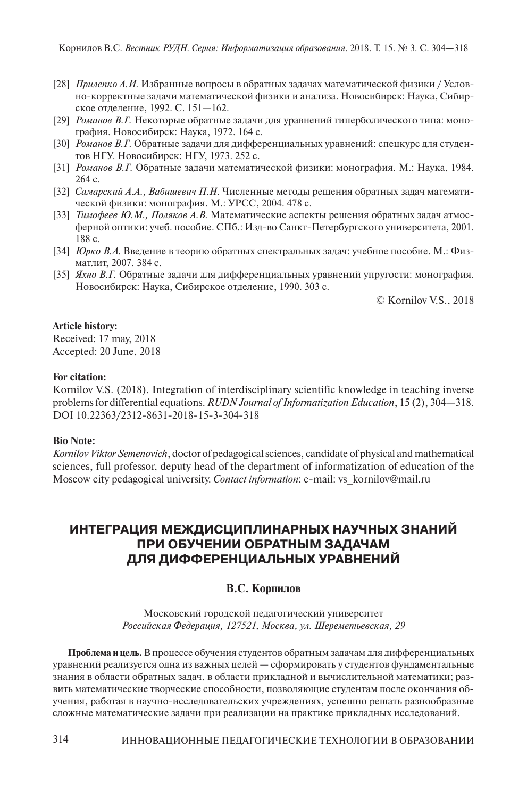- [28] *Прилепко А.И.* Избранные вопросы в обратных задачах математической физики / Условно-корректные задачи математической физики и анализа. Новосибирск: Наука, Сибирское отделение, 1992. С. 151**—**162.
- [29] *Романов В.Г.* Некоторые обратные задачи для уравнений гиперболического типа: монография. Новосибирск: Наука, 1972. 164 с.
- [30] *Романов В.Г*. Обратные задачи для дифференциальных уравнений: спецкурс для студентов НГУ. Новосибирск: НГУ, 1973. 252 с.
- [31] *Романов В.Г.* Обратные задачи математической физики: монография. М.: Наука, 1984. 264 с.
- [32] *Самарский А.А., Вабишевич П.Н.* Численные методы решения обратных задач математической физики: монография. М.: УРСС, 2004. 478 c.
- [33] *Тимофеев Ю.М., Поляков А.В.* Математические аспекты решения обратных задач атмосферной оптики: учеб. пособие. СПб.: Изд-во Санкт-Петербургского университета, 2001. 188 с.
- [34] *Юрко В.А.* Введение в теорию обратных спектральных задач: учебное пособие. М.: Физматлит, 2007. 384 c.
- [35] *Яхно В.Г.* Обратные задачи для дифференциальных уравнений упругости: монография. Новосибирск: Наука, Сибирское отделение, 1990. 303 с.

© Kornilov V.S., 2018

### **Article history:**

Received: 17 may, 2018 Accepted: 20 June, 2018

### **For citation:**

Kornilov V.S. (2018). Integration of interdisciplinary scientific knowledge in teaching inverse problems for differential equations. *RUDN Journal of Informatization Education*, 15 (2), 304—318. DOI 10.22363/2312-8631-2018-15-3-304-318

#### **Bio Note:**

*Kornilov Viktor Semenovich*, doctor of pedagogical sciences, candidate of physical and mathematical sciences, full professor, deputy head of the department of informatization of education of the Moscow city pedagogical university. *Contact information*: e-mail: vs\_kornilov@mail.ru

# **ИНТЕГРАЦИЯ МЕЖДИСЦИПЛИНАРНЫХ НАУЧНЫХ ЗНАНИЙ ПРИ ОБУЧЕНИИ ОБРАТНЫМ ЗАДАЧАМ ДЛЯ ДИФФЕРЕНЦИАЛЬНЫХ УРАВНЕНИЙ**

## **В.С. Корнилов**

Московский городской педагогический университет *Российская Федерация, 127521, Москва, ул. Шереметьевская, 29*

**Проблема и цель.** В процессе обучения студентов обратным задачам для дифференциальных уравнений реализуется одна из важных целей — сформировать у студентов фундаментальные знания в области обратных задач, в области прикладной и вычислительной математики; развить математические творческие способности, позволяющие студентам после окончания обучения, работая в научно-исследовательских учреждениях, успешно решать разнообразные сложные математические задачи при реализации на практике прикладных исследований.

314 ИННОВАЦИОННЫЕ ПЕДАГОГИЧЕСКИЕ ТЕХНОЛОГИИ В ОБРАЗОВАНИИ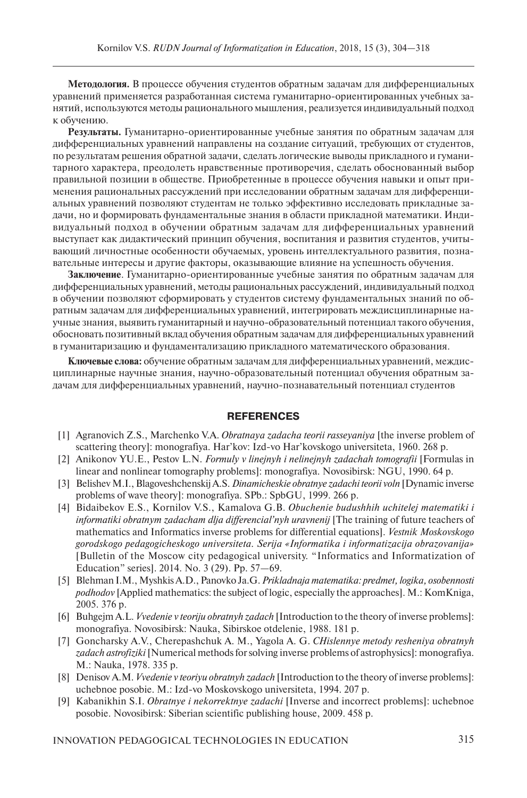**Методология.** В процессе обучения студентов обратным задачам для дифференциальных уравнений применяется разработанная система гуманитарно-ориентированных учебных занятий, используются методы рационального мышления, реализуется индивидуальный подход к обучению.

**Результаты.** Гуманитарно-ориентированные учебные занятия по обратным задачам для дифференциальных уравнений направлены на создание ситуаций, требующих от студентов, по результатам решения обратной задачи, сделать логические выводы прикладного и гуманитарного характера, преодолеть нравственные противоречия, сделать обоснованный выбор правильной позиции в обществе. Приобретенные в процессе обучения навыки и опыт применения рациональных рассуждений при исследовании обратным задачам для дифференциальных уравнений позволяют студентам не только эффективно исследовать прикладные задачи, но и формировать фундаментальные знания в области прикладной математики. Индивидуальный подход в обучении обратным задачам для дифференциальных уравнений выступает как дидактический принцип обучения, воспитания и развития студентов, учитывающий личностные особенности обучаемых, уровень интеллектуального развития, познавательные интересы и другие факторы, оказывающие влияние на успешность обучения.

**Заключение**. Гуманитарно-ориентированные учебные занятия по обратным задачам для дифференциальных уравнений, методы рациональных рассуждений, индивидуальный подход в обучении позволяют сформировать у студентов систему фундаментальных знаний по обратным задачам для дифференциальных уравнений, интегрировать междисциплинарные научные знания, выявить гуманитарный и научно-образовательный потенциал такого обучения, обосновать позитивный вклад обучения обратным задачам для дифференциальных уравнений в гуманитаризацию и фундаментализацию прикладного математического образования.

**Ключевые слова:** обучение обратным задачам для дифференциальных уравнений, междисциплинарные научные знания, научно-образовательный потенциал обучения обратным задачам для дифференциальных уравнений, научно-познавательный потенциал студентов

# **REFERENCES**

- [1] Agranovich Z.S., Marchenko V.A. *Obratnaya zadacha teorii rasseyaniya* [the inverse problem of scattering theory]: monografiya. Har'kov: Izd-vo Har'kovskogo universiteta, 1960. 268 p.
- [2] Anikonov YU.E., Pestov L.N. *Formuly v linejnyh i nelinejnyh zadachah tomografii* [Formulas in linear and nonlinear tomography problems]: monografiya. Novosibirsk: NGU, 1990. 64 p.
- [3] Belishev M.I., Blagoveshchenskij A.S. *Dinamicheskie obratnye zadachi teorii voln* [Dynamic inverse problems of wave theory]: monografiya. SPb.: SpbGU, 1999. 266 p.
- [4] Bidaibekov E.S., Kornilov V.S., Kamalova G.B. *Obuchenie budushhih uchitelej matematiki i informatiki obratnym zadacham dlja differencial'nyh uravnenij* [The training of future teachers of mathematics and Informatics inverse problems for differential equations]. *Vestnik Moskovskogo gorodskogo pedagogicheskogo universiteta. Serija «Informatika i informatizacija obrazovanija»*  [Bulletin of the Moscow city pedagogical university. "Informatics and Informatization of Education" series]. 2014. No. 3 (29). Pp. 57—69.
- [5] Blehman I.M., Myshkis A.D., Panovko Ja.G. *Prikladnaja matematika: predmet, logika, osobennosti podhodov* [Applied mathematics: the subject of logic, especially the approaches]. M.: KomKniga, 2005. 376 p.
- [6] Buhgejm A.L. *Vvedenie v teoriju obratnyh zadach* [Introduction to the theory of inverse problems]: monografiya. Novosibirsk: Nauka, Sibirskoe otdelenie, 1988. 181 p.
- [7] Goncharsky A.V., Cherepashchuk A. M., Yagola A. G. *CHislennye metody resheniya obratnyh zadach astrofiziki* [Numerical methods for solving inverse problems of astrophysics]: monografiya. M.: Nauka, 1978. 335 p.
- [8] Denisov A.M. *Vvedenie v teoriyu obratnyh zadach* [Introduction to the theory of inverse problems]: uchebnoe posobie. M.: Izd-vo Moskovskogo universiteta, 1994. 207 p.
- [9] Kabanikhin S.I. *Obratnye i nekorrektnye zadachi* [Inverse and incorrect problems]: uchebnoe posobie. Novosibirsk: Siberian scientific publishing house, 2009. 458 p.

INNOVATION PEDAGOGICAL TECHNOLOGIES IN EDUCATION 315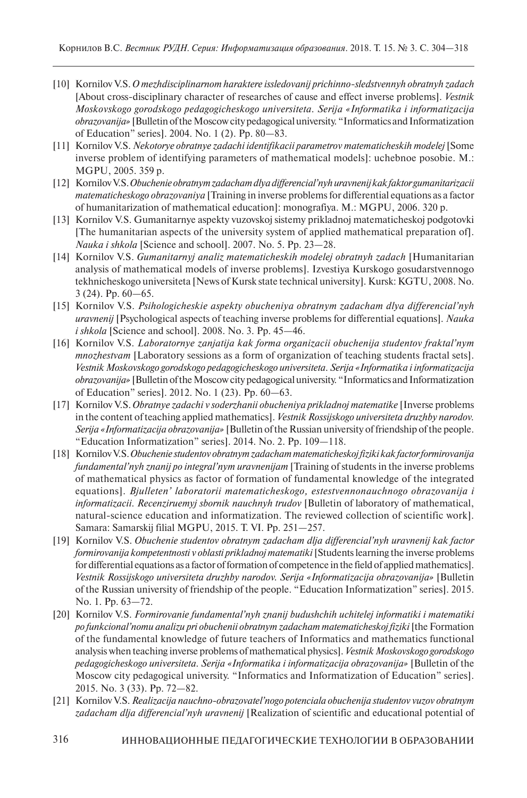- [10] Kornilov V.S. *O mezhdisciplinarnom haraktere issledovanij prichinno-sledstvennyh obratnyh zadach*  [About cross-disciplinary character of researches of cause and effect inverse problems]. *Vestnik Moskovskogo gorodskogo pedagogicheskogo universiteta. Serija «Informatika i informatizacija obrazovanija»* [Bulletin of the Moscow city pedagogical university. "Informatics and Informatization of Education" series]. 2004. No. 1 (2). Pp. 80—83.
- [11] Kornilov V.S. *Nekotorye obratnye zadachi identifikacii parametrov matematicheskih modelej* [Some inverse problem of identifying parameters of mathematical models]: uchebnoe posobie. M.: MGPU, 2005. 359 p.
- [12] Kornilov V.S. *Obuchenie obratnym zadacham dlya differencial'nyh uravnenij kak faktor gumanitarizacii matematicheskogo obrazovaniya* [Training in inverse problems for differential equations as a factor of humanitarization of mathematical education]: monografiya. M.: MGPU, 2006. 320 p.
- [13] Kornilov V.S. Gumanitarnye aspekty vuzovskoj sistemy prikladnoj matematicheskoj podgotovki [The humanitarian aspects of the university system of applied mathematical preparation of]. *Nauka i shkola* [Science and school]. 2007. No. 5. Pp. 23—28.
- [14] Kornilov V.S. *Gumanitarnyj analiz matematicheskih modelej obratnyh zadach* [Humanitarian analysis of mathematical models of inverse problems]. Izvestiya Kurskogo gosudarstvennogo tekhnicheskogo universiteta [News of Kursk state technical university]. Kursk: KGTU, 2008. No. 3 (24). Pp. 60—65.
- [15] Kornilov V.S. *Psihologicheskie aspekty obucheniya obratnym zadacham dlya differencial'nyh uravnenij* [Psychological aspects of teaching inverse problems for differential equations]. *Nauka i shkola* [Science and school]. 2008. No. 3. Pp. 45—46.
- [16] Kornilov V.S. *Laboratornye zanjatija kak forma organizacii obuchenija studentov fraktal'nym mnozhestvam* [Laboratory sessions as a form of organization of teaching students fractal sets]. *Vestnik Moskovskogo gorodskogo pedagogicheskogo universiteta. Serija «Informatika i informatizacija obrazovanija»* [Bulletin of the Moscow city pedagogical university. "Informatics and Informatization of Education" series]. 2012. No. 1 (23). Pp. 60—63.
- [17] Kornilov V.S. *Obratnye zadachi v soderzhanii obucheniya prikladnoj matematike* [Inverse problems in the content of teaching applied mathematics]. *Vestnik Rossijskogo universiteta druzhby narodov. Serija «Informatizacija obrazovanija»* [Bulletin of the Russian university of friendship of the people. "Education Informatization" series]. 2014. No. 2. Pp. 109—118.
- [18] Kornilov V.S. *Obuchenie studentov obratnym zadacham matematicheskoj fiziki kak factor formirovanija*  fundamental'nyh znanij po integral'nym uravnenijam [Training of students in the inverse problems of mathematical physics as factor of formation of fundamental knowledge of the integrated equations]. *Bjulleten' laboratorii matematicheskogo, estestvennonauchnogo obrazovanija i informatizacii. Recenziruemyj sbornik nauchnyh trudov* [Bulletin of laboratory of mathematical, natural-science education and informatization. The reviewed collection of scientific work]. Samara: Samarskij filial MGPU, 2015. T. VI. Pp. 251—257.
- [19] Kornilov V.S. *Obuchenie studentov obratnym zadacham dlja differencial'nyh uravnenij kak factor formirovanija kompetentnosti v oblasti prikladnoj matematiki* [Students learning the inverse problems for differential equations as a factor of formation of competence in the field of applied mathematics]. *Vestnik Rossijskogo universiteta druzhby narodov. Serija «Informatizacija obrazovanija»* [Bulletin of the Russian university of friendship of the people. "Education Informatization" series]. 2015. No. 1. Pp. 63—72.
- [20] Kornilov V.S. *Formirovanie fundamental'nyh znanij budushchih uchitelej informatiki i matematiki po funkcional'nomu analizu pri obuchenii obratnym zadacham matematicheskoj fiziki* [the Formation of the fundamental knowledge of future teachers of Informatics and mathematics functional analysis when teaching inverse problems of mathematical physics]. *Vestnik Moskovskogo gorodskogo pedagogicheskogo universiteta. Serija «Informatika i informatizacija obrazovanija»* [Bulletin of the Moscow city pedagogical university. "Informatics and Informatization of Education" series]. 2015. No. 3 (33). Pp. 72—82.
- [21] Kornilov V.S. *Realizacija nauchno-obrazovatel'nogo potenciala obuchenija studentov vuzov obratnym zadacham dlja differencial'nyh uravnenij* [Realization of scientific and educational potential of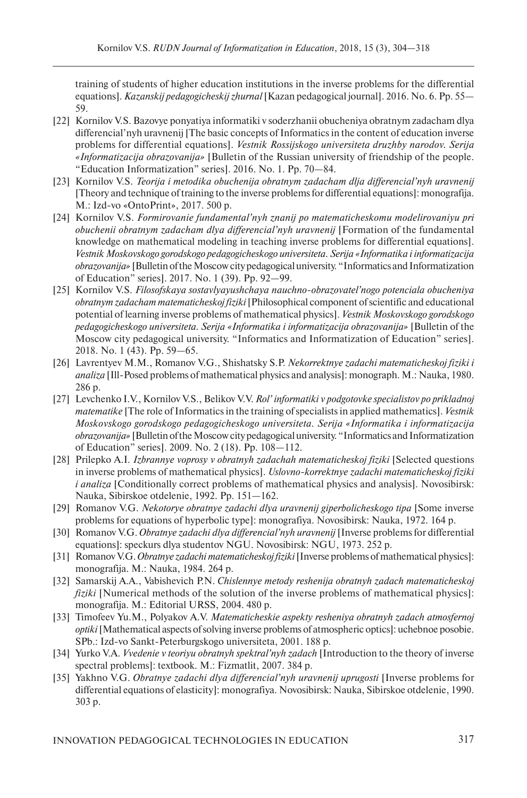training of students of higher education institutions in the inverse problems for the differential equations]. *Kazanskij pedagogicheskij zhurnal* [Kazan pedagogical journal]. 2016. No. 6. Pp. 55— 59.

- [22] Kornilov V.S. Bazovye ponyatiya informatiki v soderzhanii obucheniya obratnym zadacham dlya differencial'nyh uravnenij [The basic concepts of Informatics in the content of education inverse problems for differential equations]. *Vestnik Rossijskogo universiteta druzhby narodov. Serija «Informatizacija obrazovanija»* [Bulletin of the Russian university of friendship of the people. "Education Informatization" series]. 2016. No. 1. Pp. 70—84.
- [23] Kornilov V.S. *Teorija i metodika obuchenija obratnym zadacham dlja differencial'nyh uravnenij*  [Theory and technique of training to the inverse problems for differential equations]: monografija. M.: Izd-vo «OntoPrint», 2017. 500 p.
- [24] Kornilov V.S. *Formirovanie fundamental'nyh znanij po matematicheskomu modelirovaniyu pri obuchenii obratnym zadacham dlya differencial'nyh uravnenij* [Formation of the fundamental knowledge on mathematical modeling in teaching inverse problems for differential equations]. *Vestnik Moskovskogo gorodskogo pedagogicheskogo universiteta. Serija «Informatika i informatizacija obrazovanija»* [Bulletin of the Moscow city pedagogical university. "Informatics and Informatization of Education" series]. 2017. No. 1 (39). Pp. 92—99.
- [25] Kornilov V.S. *Filosofskaya sostavlyayushchaya nauchno-obrazovatel'nogo potenciala obucheniya obratnym zadacham matematicheskoj fiziki* [Philosophical component of scientific and educational potential of learning inverse problems of mathematical physics]. *Vestnik Moskovskogo gorodskogo pedagogicheskogo universiteta. Serija «Informatika i informatizacija obrazovanija»* [Bulletin of the Moscow city pedagogical university. "Informatics and Informatization of Education" series]. 2018. No. 1 (43). Pp. 59—65.
- [26] Lavrentyev M.M., Romanov V.G., Shishatsky S.P. *Nekorrektnye zadachi matematicheskoj fiziki i analiza* [Ill-Posed problems of mathematical physics and analysis]: monograph. M.: Nauka, 1980. 286 p.
- [27] Levchenko I.V., Kornilov V.S., Belikov V.V. *Rol' informatiki v podgotovke specialistov po prikladnoj matematike* [The role of Informatics in the training of specialists in applied mathematics]. *Vestnik Moskovskogo gorodskogo pedagogicheskogo universiteta. Serija «Informatika i informatizacija obrazovanija»* [Bulletin of the Moscow city pedagogical university. "Informatics and Informatization of Education" series]. 2009. No. 2 (18). Pp. 108—112.
- [28] Prilepko A.I. *Izbrannye voprosy v obratnyh zadachah matematicheskoj fiziki* [Selected questions in inverse problems of mathematical physics]. *Uslovno-korrektnye zadachi matematicheskoj fiziki i analiza* [Conditionally correct problems of mathematical physics and analysis]. Novosibirsk: Nauka, Sibirskoe otdelenie, 1992. Pp. 151—162.
- [29] Romanov V.G. *Nekotorye obratnye zadachi dlya uravnenij giperbolicheskogo tipa* [Some inverse problems for equations of hyperbolic type]: monografiya. Novosibirsk: Nauka, 1972. 164 p.
- [30] Romanov V.G. *Obratnye zadachi dlya differencial'nyh uravnenij* [Inverse problems for differential equations]: speckurs dlya studentov NGU. Novosibirsk: NGU, 1973. 252 p.
- [31] Romanov V.G. *Obratnye zadachi matematicheskoj fiziki* [Inverse problems of mathematical physics]: monografija. M.: Nauka, 1984. 264 p.
- [32] Samarskij A.A., Vabishevich P.N. *Chislennye metody reshenija obratnyh zadach matematicheskoj fiziki* [Numerical methods of the solution of the inverse problems of mathematical physics]: monografija. M.: Editorial URSS, 2004. 480 p.
- [33] Timofeev Yu.M., Polyakov A.V. *Matematicheskie aspekty resheniya obratnyh zadach atmosfernoj optiki* [Mathematical aspects of solving inverse problems of atmospheric optics]: uchebnoe posobie. SPb.: Izd-vo Sankt-Peterburgskogo universiteta, 2001. 188 p.
- [34] Yurko V.A. *Vvedenie v teoriyu obratnyh spektral'nyh zadach* [Introduction to the theory of inverse spectral problems]: textbook. M.: Fizmatlit, 2007. 384 p.
- [35] Yakhno V.G. *Obratnye zadachi dlya differencial'nyh uravnenij uprugosti* [Inverse problems for differential equations of elasticity]: monografiya. Novosibirsk: Nauka, Sibirskoe otdelenie, 1990. 303 p.